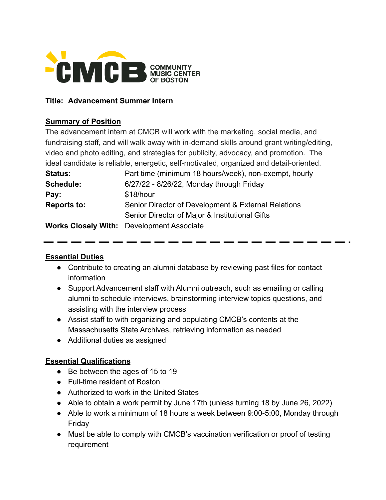

#### **Title: Advancement Summer Intern**

#### **Summary of Position**

The advancement intern at CMCB will work with the marketing, social media, and fundraising staff, and will walk away with in-demand skills around grant writing/editing, video and photo editing, and strategies for publicity, advocacy, and promotion. The ideal candidate is reliable, energetic, self-motivated, organized and detail-oriented. **Status:** Part time (minimum 18 hours/week), non-exempt, hourly **Schedule:** 6/27/22 - 8/26/22, Monday through Friday Pay: \$18/hour **Reports to:** Senior Director of Development & External Relations Senior Director of Major & Institutional Gifts **Works Closely With:** Development Associate

#### **Essential Duties**

- Contribute to creating an alumni database by reviewing past files for contact information
- Support Advancement staff with Alumni outreach, such as emailing or calling alumni to schedule interviews, brainstorming interview topics questions, and assisting with the interview process
- Assist staff to with organizing and populating CMCB's contents at the Massachusetts State Archives, retrieving information as needed
- Additional duties as assigned

### **Essential Qualifications**

- Be between the ages of 15 to 19
- Full-time resident of Boston
- Authorized to work in the United States
- Able to obtain a work permit by June 17th (unless turning 18 by June 26, 2022)
- Able to work a minimum of 18 hours a week between 9:00-5:00, Monday through Friday
- Must be able to comply with CMCB's vaccination verification or proof of testing requirement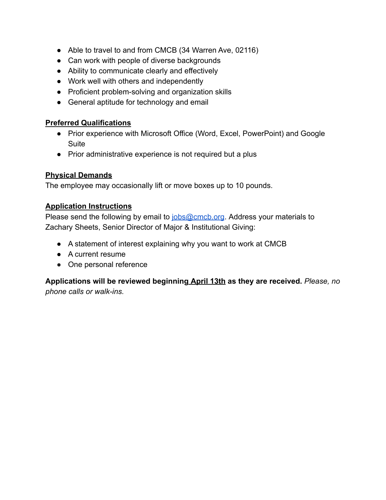- Able to travel to and from CMCB (34 Warren Ave, 02116)
- Can work with people of diverse backgrounds
- Ability to communicate clearly and effectively
- Work well with others and independently
- Proficient problem-solving and organization skills
- General aptitude for technology and email

## **Preferred Qualifications**

- Prior experience with Microsoft Office (Word, Excel, PowerPoint) and Google Suite
- Prior administrative experience is not required but a plus

# **Physical Demands**

The employee may occasionally lift or move boxes up to 10 pounds.

## **Application Instructions**

Please send the following by email to [jobs@cmcb.org](mailto:jobs@cmcb.org). Address your materials to Zachary Sheets, Senior Director of Major & Institutional Giving:

- A statement of interest explaining why you want to work at CMCB
- A current resume
- One personal reference

**Applications will be reviewed beginning April 13th as they are received.** *Please, no phone calls or walk-ins.*